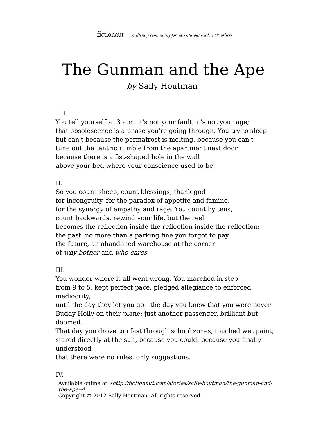# The Gunman and the Ape by Sally Houtman

#### I.

You tell yourself at 3 a.m. it's not your fault, it's not your age; that obsolescence is a phase you're going through. You try to sleep but can't because the permafrost is melting, because you can't tune out the tantric rumble from the apartment next door, because there is a fist-shaped hole in the wall above your bed where your conscience used to be.

## II.

So you count sheep, count blessings; thank god for incongruity, for the paradox of appetite and famine, for the synergy of empathy and rage. You count by tens, count backwards, rewind your life, but the reel becomes the reflection inside the reflection inside the reflection; the past, no more than a parking fine you forgot to pay, the future, an abandoned warehouse at the corner of why bother and who cares.

## III.

You wonder where it all went wrong. You marched in step from 9 to 5, kept perfect pace, pledged allegiance to enforced mediocrity,

until the day they let you go—the day you knew that you were never Buddy Holly on their plane; just another passenger, brilliant but doomed.

That day you drove too fast through school zones, touched wet paint, stared directly at the sun, because you could, because you finally understood

that there were no rules, only suggestions.

#### IV.